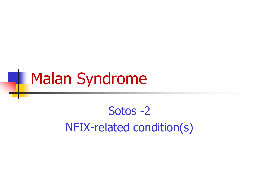## Malan Syndrome

#### Sotos -2

NFIX-related condition(s)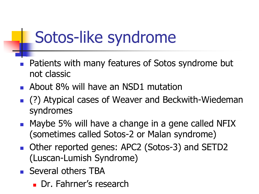## Sotos-like syndrome

- Patients with many features of Sotos syndrome but not classic
- **About 8% will have an NSD1 mutation**
- (?) Atypical cases of Weaver and Beckwith-Wiedeman syndromes
- **Naybe 5% will have a change in a gene called NFIX** (sometimes called Sotos-2 or Malan syndrome)
- Other reported genes: APC2 (Sotos-3) and SETD2 (Luscan-Lumish Syndrome)
- **Several others TBA** 
	- Dr. Fahrner's research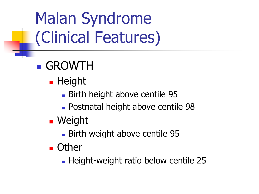- **GROWTH** 
	- **Height** 
		- **Birth height above centile 95**
		- Postnatal height above centile 98
	- **Neight** 
		- Birth weight above centile 95
	- **D** Other
		- **Height-weight ratio below centile 25**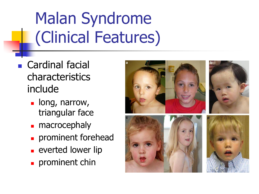- **Cardinal facial** characteristics include
	- long, narrow, triangular face
	- macrocephaly
	- **prominent forehead**
	- **Exercise Leta Lever Fig. 2**
	- **prominent chin**

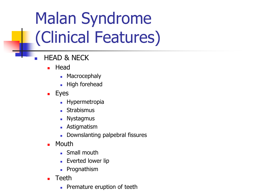- HEAD & NECK
	- $H$ ead
		- **Macrocephaly**
		- **High forehead**
	- **Eyes** 
		- **Hypermetropia**
		- **Strabismus**
		- **Nystagmus**
		- **Astigmatism**
		- Downslanting palpebral fissures
	- Mouth
		- **Small mouth**
		- **Everted lower lip**
		- **Prognathism**
	- Teeth
		- **Premature eruption of teeth**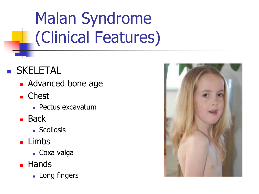#### **SKELETAL**

- **Advanced bone age**
- **Chest** 
	- Pectus excavatum
- **Back** 
	- **Scoliosis**
- **Limbs** 
	- Coxa valga
- **Hands** 
	- **Long fingers**

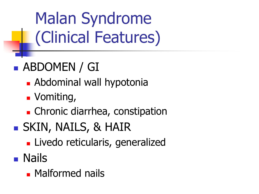### **ABDOMEN / GI**

- **Abdominal wall hypotonia**
- **J** Vomiting,
- **EXPLEM** Chronic diarrhea, constipation
- **SKIN, NAILS, & HAIR** 
	- **Livedo reticularis, generalized**
- Nails
	- **Malformed nails**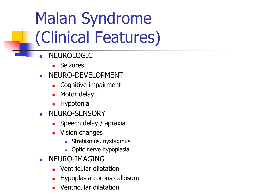- NEUROLOGIC
	- Seizures
- NEURO-DEVELOPMENT
	- Cognitive impairment
	- Motor delay
	- Hypotonia
- NEURO-SENSORY
	- $\blacksquare$  Speech delay / apraxia
	- **Vision changes** 
		- **Strabismus, nystagmus**
		- **Departs** Optic nerve hypoplasia
- NEURO-IMAGING
	- **Number** Ventricular dilatation
	- Hypoplasia corpus callosum
	- Ventricular dilatation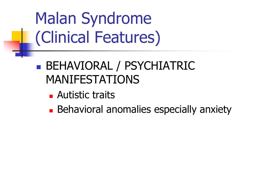#### **BEHAVIORAL / PSYCHIATRIC** MANIFESTATIONS

- **Autistic traits**
- **Behavioral anomalies especially anxiety**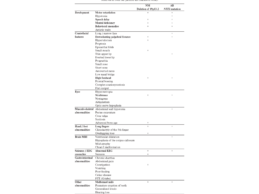|                  |                                   | NM                  | $\mathbf{A}\mathbf{B}$ |
|------------------|-----------------------------------|---------------------|------------------------|
|                  |                                   | Deletion of 19p13.2 | <b>NFIX</b> mutation   |
| Development      | Motor retardation                 | $\ddot{}$           | $^{+}$                 |
|                  | Hypotonia                         |                     | $\ddot{}$              |
|                  | Speech delay                      | $\ddot{}$           | $\ddot{}$              |
|                  | Mental deficiency                 | $^{+}$              | $\ddot{+}$             |
|                  | <b>Behavioral anomalies</b>       | $^{+}$              | $^{+}$                 |
|                  | Autistic traits                   |                     |                        |
| Craniofacial     | Long / narrow face                |                     | $\ddot{}$              |
| features         | Downslanting palpebral fissures   | $\ddot{}$           | $\ddot{}$              |
|                  | Hypertelorism                     | $\ddot{}$           |                        |
|                  | Proptosis                         |                     |                        |
|                  | Epicanthal folds                  |                     |                        |
|                  | Small mouth                       | $^{+}$              |                        |
|                  | Thin upper lip                    |                     | $\! + \!$              |
|                  | Everted lower lip                 |                     |                        |
|                  | Prognathia                        |                     |                        |
|                  | Small nose                        |                     |                        |
|                  | Short nose                        |                     |                        |
|                  | Anteverted nares                  |                     |                        |
|                  | Low nasal bridge                  |                     |                        |
|                  | <b>High forehead</b>              | $\ddot{}$           | $^{+}$                 |
|                  | Frontal bossing                   |                     |                        |
|                  | Complex craniosynostosis          |                     |                        |
|                  | Flat occiput                      |                     |                        |
| Eyes             | Hypermetropia                     |                     |                        |
|                  | <b>Strabismus</b>                 | $\ddot{}$           | $^{+}$                 |
|                  | Nystagmus                         |                     |                        |
|                  | Astigmatism                       |                     |                        |
|                  | Optic nerve hypoplasia            |                     |                        |
| Musculo-skeletal | Abdominal wall hypotonia          |                     | $^{+}$                 |
| abnormalities    | Pectus excavatum                  |                     |                        |
|                  | Coxa valga                        |                     |                        |
|                  | Scoliosis                         |                     |                        |
|                  | Advanced bone age                 | $^{+}$              |                        |
| Hand / foot      | Long fingers                      | $\ddot{}$           | $^{+}$                 |
| abnormalities    | Clinodactyly of the 5th finger    |                     |                        |
|                  |                                   | $\ddot{}$           |                        |
|                  | Overlapping toes                  |                     |                        |
| <b>Brain MRI</b> | Ventricular dilatation            |                     | $\ddot{}$              |
|                  | Hypoplasia of the corpus callosum |                     |                        |
|                  | Mild atrophy                      |                     |                        |
|                  | Chiari I malformation             |                     |                        |
| Seizures / EEG   | <b>Abnormal EEG</b>               | $\, +$              | $\ddot{}$              |
| anomalies        | Seizures                          | $\ddag$             |                        |
| Gastrointestinal | Chronic diarrhea                  |                     |                        |
| abnormalities    | Abdominal pain                    |                     |                        |
|                  | Constipation                      | $\ddot{}$           |                        |
|                  | Vomiting                          |                     |                        |
|                  | Poor feeding                      |                     |                        |
|                  |                                   |                     |                        |

| abnormalities | Abdominal pain              |        |        |
|---------------|-----------------------------|--------|--------|
|               | Constipation                | $^{+}$ |        |
|               | Vomiting                    |        |        |
|               | Poor feeding                |        |        |
|               | Celiac disease              |        |        |
|               | FTT (G-tube)                |        |        |
| Other         | Malformed nails             | $^{+}$ | $^{+}$ |
| abnormalities | Premature eruption of teeth |        |        |
|               | Generalized livedo          |        |        |
|               | Hearing loss                |        |        |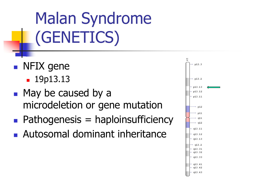Malan Syndrome (GENETICS)

- **NFIX** gene
	- **19p13.13**
- May be caused by a microdeletion or gene mutation
- $\blacksquare$  Pathogenesis = haploinsufficiency
- **Autosomal dominant inheritance**

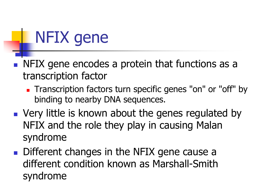## NFIX gene

- NFIX gene encodes a protein that functions as a transcription factor
	- **Transcription factors turn specific genes "on" or "off" by** binding to nearby DNA sequences.
- **Very little is known about the genes regulated by** NFIX and the role they play in causing Malan syndrome
- Different changes in the NFIX gene cause a different condition known as Marshall-Smith syndrome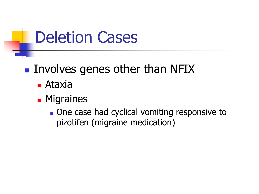## Deletion Cases

#### $\blacksquare$  Involves genes other than NFIX

- Ataxia
- **Migraines** 
	- One case had cyclical vomiting responsive to pizotifen (migraine medication)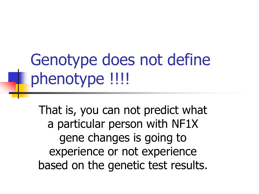Genotype does not define phenotype !!!!

That is, you can not predict what a particular person with NF1X gene changes is going to experience or not experience based on the genetic test results.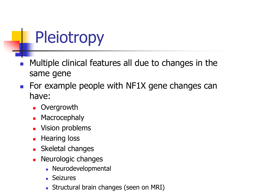## Pleiotropy

- Multiple clinical features all due to changes in the same gene
- For example people with NF1X gene changes can have:
	- **D** Overgrowth
	- **Macrocephaly**
	- Vision problems
	- **Hearing loss**
	- Skeletal changes
	- Neurologic changes
		- **Neurodevelopmental**
		- Seizures
		- **Structural brain changes (seen on MRI)**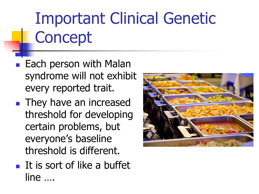# Important Clinical Genetic **Concept**

- $\blacksquare$  Each person with Malan syndrome will not exhibit every reported trait.
- **They have an increased** threshold for developing certain problems, but everyone's baseline threshold is different.
- $\blacksquare$  It is sort of like a buffet line ….

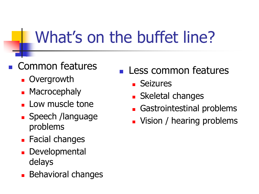## What's on the buffet line?

#### Common features

- **D** Overgrowth
- **Macrocephaly**
- **Low muscle tone**
- **Speech /language** problems
- **Facial changes**
- Developmental delays
- **Behavioral changes**
- **Less common features** 
	- **Seizures**
	- Skeletal changes
	- Gastrointestinal problems
	- **Vision / hearing problems**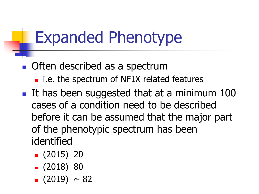## Expanded Phenotype

- **Often described as a spectrum** 
	- i.e. the spectrum of NF1X related features
- It has been suggested that at a minimum  $100$ cases of a condition need to be described before it can be assumed that the major part of the phenotypic spectrum has been identified
	- $(2015)$  20
	- $(2018)80$
	- $(2019) \sim 82$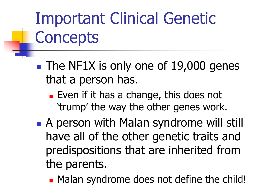# Important Clinical Genetic **Concepts**

- The NF1X is only one of 19,000 genes that a person has.
	- **Exen if it has a change, this does not** 'trump' the way the other genes work.
- **A person with Malan syndrome will still** have all of the other genetic traits and predispositions that are inherited from the parents.
	- Malan syndrome does not define the child!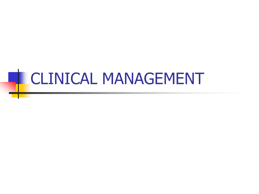# **CLINICAL MANAGEMENT**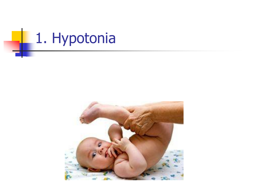

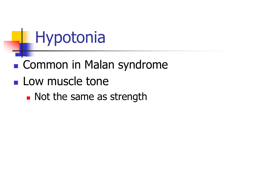## Hypotonia

### **Common in Malan syndrome**

- **Low muscle tone** 
	- **Not the same as strength**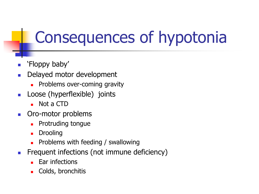## Consequences of hypotonia

- 'Floppy baby'
- Delayed motor development
	- Problems over-coming gravity
- **Loose (hyperflexible)** joints
	- Not a CTD
- **C**ro-motor problems
	- Protruding tongue
	- Drooling
	- Problems with feeding / swallowing
- **Figure 1** Frequent infections (not immune deficiency)
	- Ear infections
	- Colds, bronchitis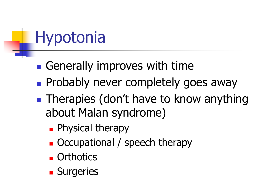## Hypotonia

- **Generally improves with time**
- **Probably never completely goes away**
- **Therapies (don't have to know anything** about Malan syndrome)
	- **Physical therapy**
	- **Occupational / speech therapy**
	- **C** Orthotics
	- **Surgeries**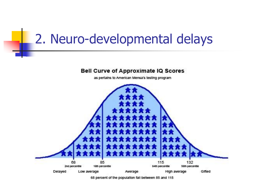### 2. Neuro-developmental delays



68 percent of the population fall between 85 and 115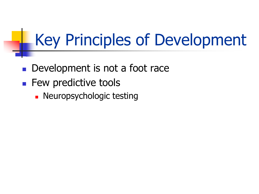## Key Principles of Development

- Development is not a foot race
- **Few predictive tools** 
	- **Neuropsychologic testing**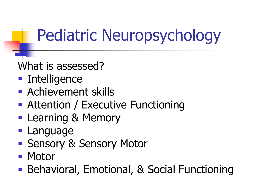## Pediatric Neuropsychology

What is assessed?

- **Intelligence**
- **Achievement skills**
- **Attention / Executive Functioning**
- **Learning & Memory**
- Language
- Sensory & Sensory Motor
- Motor
- Behavioral, Emotional, & Social Functioning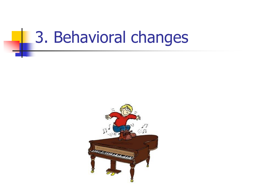## 3. Behavioral changes

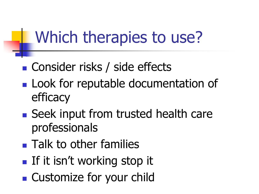## Which therapies to use?

- Consider risks / side effects
- **Look for reputable documentation of** efficacy
- Seek input from trusted health care professionals
- **Talk to other families**
- **If it isn't working stop it**
- Customize for your child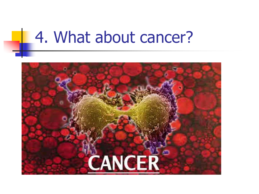## **4. What about cancer?**

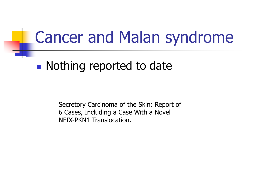## Cancer and Malan syndrome

#### **Nothing reported to date**

Secretory Carcinoma of the Skin: Report of 6 Cases, Including a Case With a Novel NFIX-PKN1 Translocation.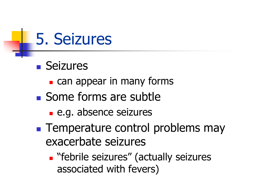

- **Seizures** 
	- **can appear in many forms**
- Some forms are subtle
	- e.g. absence seizures
- **Temperature control problems may** exacerbate seizures
	- **E** "febrile seizures" (actually seizures associated with fevers)